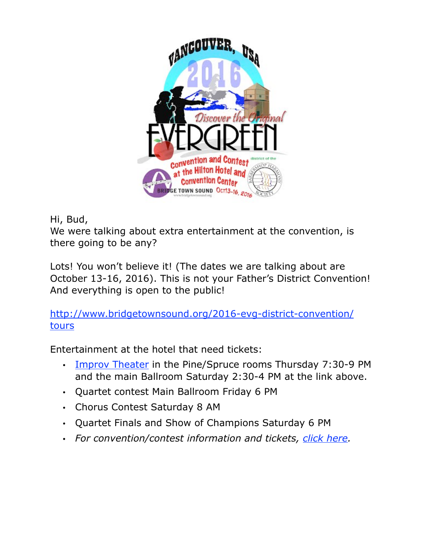

Hi, Bud,

We were talking about extra entertainment at the convention, is there going to be any?

Lots! You won't believe it! (The dates we are talking about are October 13-16, 2016). This is not your Father's District Convention! And everything is open to the public!

[http://www.bridgetownsound.org/2016-evg-district-convention/](http://www.bridgetownsound.org/2016-evg-district-convention/tours) tours

Entertainment at the hotel that need tickets:

- [Improv Theater](http://www.bridgetownsound.org/Magenta%20Improv%20Theater%20(6-19).pdf?attredirects=0&d=1) in the Pine/Spruce rooms Thursday 7:30-9 PM and the main Ballroom Saturday 2:30-4 PM at the link above.
- Quartet contest Main Ballroom Friday 6 PM
- Chorus Contest Saturday 8 AM
- Quartet Finals and Show of Champions Saturday 6 PM
- *For convention/contest information and tickets, [click here.](http://www.bridgetownsound.org/2016-evg-district-convention%22%20%5Ct%20%22_blank)*